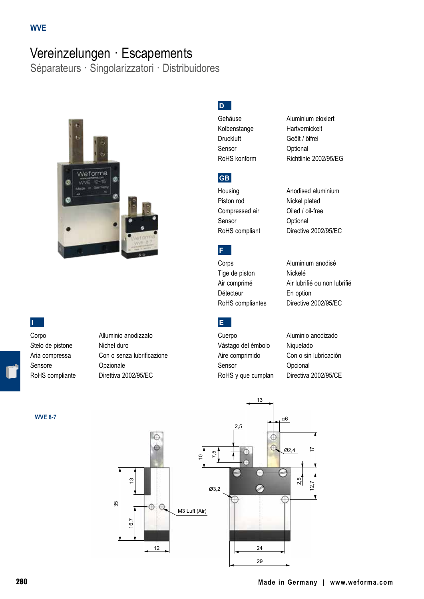# Vereinzelungen · Escapements

Séparateurs · Singolarizzatori · Distribuidores



### **I**

Stelo de pistone Michel duro Sensore Opzionale

**WVE 8-7**

Corpo Alluminio anodizzato Aria compressa Con o senza lubrificazione RoHS compliante Direttiva 2002/95/EC

# **D**

Kolbenstange Hartvernickelt Druckluft Geölt / ölfrei Sensor **Optional** 

## **GB**

Piston rod Nickel plated Compressed air **Oiled / oil-free** Sensor **Optional** 

Gehäuse Aluminium eloxiert RoHS konform Richtlinie 2002/95/EG

Housing **Anodised aluminium** RoHS compliant Directive 2002/95/EC

Corps **Aluminium** anodisé Tige de piston Nickelé Détecteur En option

**E**

**F**

Air comprimé Air lubrifié ou non lubrifié RoHS compliantes Directive 2002/95/EC

Cuerpo Aluminio anodizado Vástago del émbolo Niquelado Aire comprimido Con o sin lubricación Sensor **Opcional** RoHS y que cumplan Directiva 2002/95/CE